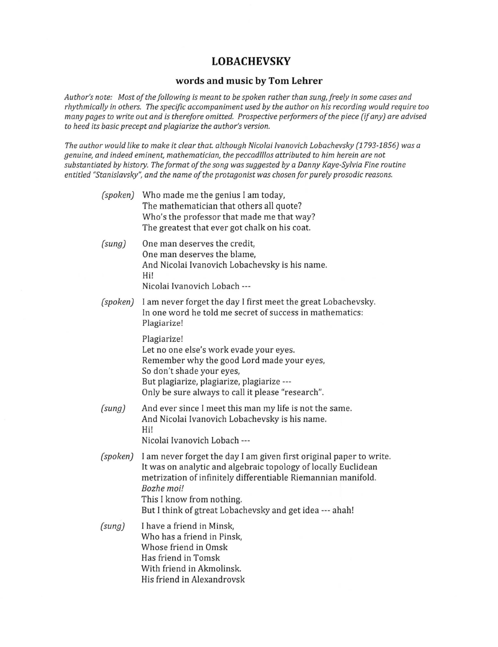## **LOBACHEVSKY**

## **words and music by Tom Lehrer**

*Author's note: Most of the following* is *meant to be spoken rather than sung, freely in some cases and rhythmically in others. The specific accompaniment used by the author on his recording would require too many pages to write out and* is *therefore omitted. Prospective performers of the piece (if any) are advised to heed its basic precept and plagiarize the author's version.* 

*The author would like to make it clear that. although Nicolai Ivanovich Lobachevsky (1793-1856) was a genuine, and indeed eminent, mathematician, the peccadll/os attributed to him herein are not substantiated by history. The format of the song was suggested by a Danny Kaye-Sylvia Fine routine entitled "Stanislavsky", and the name of the protagonist was chosen for purely prosodic reasons.* 

| (spoken) | Who made me the genius I am today,<br>The mathematician that others all quote?<br>Who's the professor that made me that way?<br>The greatest that ever got chalk on his coat.                                                                                                                                 |
|----------|---------------------------------------------------------------------------------------------------------------------------------------------------------------------------------------------------------------------------------------------------------------------------------------------------------------|
| (sung)   | One man deserves the credit,<br>One man deserves the blame,<br>And Nicolai Ivanovich Lobachevsky is his name.<br>Hi!<br>Nicolai Ivanovich Lobach ---                                                                                                                                                          |
| (spoken) | I am never forget the day I first meet the great Lobachevsky.<br>In one word he told me secret of success in mathematics:<br>Plagiarize!                                                                                                                                                                      |
|          | Plagiarize!<br>Let no one else's work evade your eyes.<br>Remember why the good Lord made your eyes,<br>So don't shade your eyes,<br>But plagiarize, plagiarize, plagiarize ---<br>Only be sure always to call it please "research".                                                                          |
| (sung)   | And ever since I meet this man my life is not the same.<br>And Nicolai Ivanovich Lobachevsky is his name.<br>Hi!<br>Nicolai Ivanovich Lobach ---                                                                                                                                                              |
| (spoken) | I am never forget the day I am given first original paper to write.<br>It was on analytic and algebraic topology of locally Euclidean<br>metrization of infinitely differentiable Riemannian manifold.<br>Bozhe moi!<br>This I know from nothing.<br>But I think of gtreat Lobachevsky and get idea --- ahah! |
| (sung)   | I have a friend in Minsk,<br>Who has a friend in Pinsk,<br>Whose friend in Omsk<br>Has friend in Tomsk<br>With friend in Akmolinsk.<br>His friend in Alexandrovsk                                                                                                                                             |